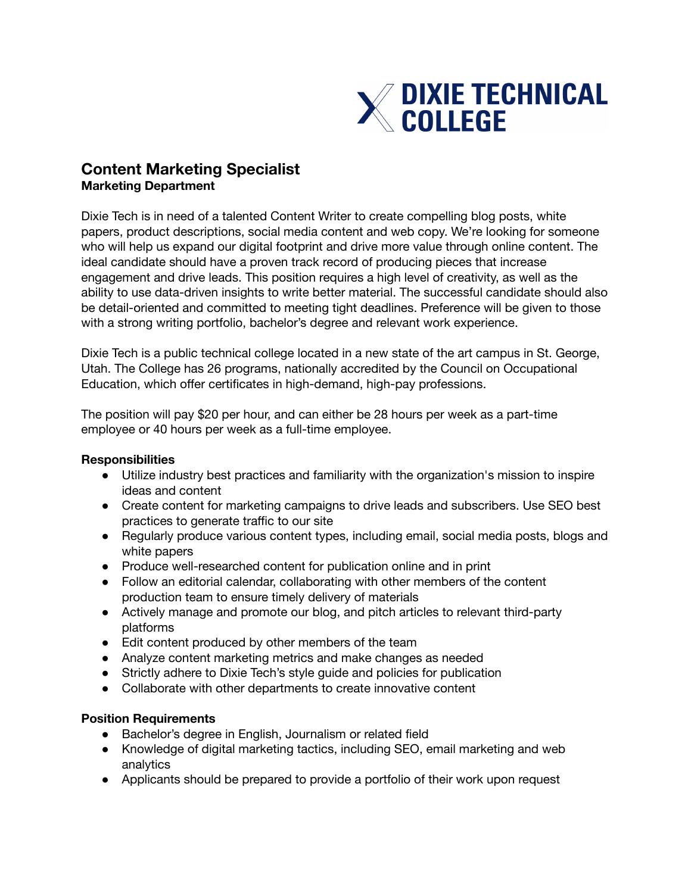

## **Content Marketing Specialist Marketing Department**

Dixie Tech is in need of a talented Content Writer to create compelling blog posts, white papers, product descriptions, social media content and web copy. We're looking for someone who will help us expand our digital footprint and drive more value through online content. The ideal candidate should have a proven track record of producing pieces that increase engagement and drive leads. This position requires a high level of creativity, as well as the ability to use data-driven insights to write better material. The successful candidate should also be detail-oriented and committed to meeting tight deadlines. Preference will be given to those with a strong writing portfolio, bachelor's degree and relevant work experience.

Dixie Tech is a public technical college located in a new state of the art campus in St. George, Utah. The College has 26 programs, nationally accredited by the Council on Occupational Education, which offer certificates in high-demand, high-pay professions.

The position will pay \$20 per hour, and can either be 28 hours per week as a part-time employee or 40 hours per week as a full-time employee.

## **Responsibilities**

- Utilize industry best practices and familiarity with the organization's mission to inspire ideas and content
- Create content for marketing campaigns to drive leads and subscribers. Use SEO best practices to generate traffic to our site
- Regularly produce various content types, including email, social media posts, blogs and white papers
- Produce well-researched content for publication online and in print
- Follow an editorial calendar, collaborating with other members of the content production team to ensure timely delivery of materials
- Actively manage and promote our blog, and pitch articles to relevant third-party platforms
- Edit content produced by other members of the team
- Analyze content marketing metrics and make changes as needed
- Strictly adhere to Dixie Tech's style guide and policies for publication
- Collaborate with other departments to create innovative content

## **Position Requirements**

- Bachelor's degree in English, Journalism or related field
- Knowledge of digital marketing tactics, including SEO, email marketing and web analytics
- Applicants should be prepared to provide a portfolio of their work upon request